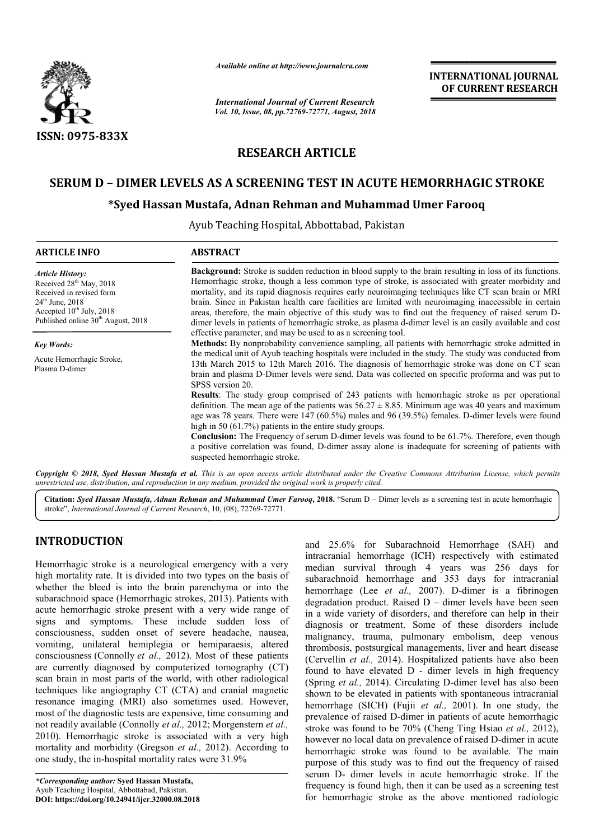

*Available online at http://www.journalcra.com*

*International Journal of Current Research Vol. 10, Issue, 08, pp.72769-72771, August, 2018* **INTERNATIONAL JOURNAL OF CURRENT RESEARCH**

# **RESEARCH ARTICLE**

## **SERUM D – DIMER LEVELS AS A SCREENING TEST IN ACUTE HEMORRHAGIC STROKE DIMER HEMORRHAGIC STROKE**

### **\*Syed Hassan Mustafa, Adnan Rehman and Muhammad Umer Syed Farooq**

Ayub Teaching Hospital Hospital, Abbottabad, Pakistan

| <b>ARTICLE INFO</b>                                                                                                                                                                                  | <b>ABSTRACT</b>                                                                                                                                                                                                                                                                                                                                                                                                                                                                                                                                                                                                                                                                                                       |  |  |
|------------------------------------------------------------------------------------------------------------------------------------------------------------------------------------------------------|-----------------------------------------------------------------------------------------------------------------------------------------------------------------------------------------------------------------------------------------------------------------------------------------------------------------------------------------------------------------------------------------------------------------------------------------------------------------------------------------------------------------------------------------------------------------------------------------------------------------------------------------------------------------------------------------------------------------------|--|--|
| <b>Article History:</b><br>Received 28 <sup>th</sup> May, 2018<br>Received in revised form<br>$24th$ June, $2018$<br>Accepted $10^{th}$ July, 2018<br>Published online 30 <sup>th</sup> August, 2018 | <b>Background:</b> Stroke is sudden reduction in blood supply to the brain resulting in loss of its functions.<br>Hemorrhagic stroke, though a less common type of stroke, is associated with greater morbidity and<br>mortality, and its rapid diagnosis requires early neuroimaging techniques like CT scan brain or MRI<br>brain. Since in Pakistan health care facilities are limited with neuroimaging inaccessible in certain<br>areas, therefore, the main objective of this study was to find out the frequency of raised serum D-<br>dimer levels in patients of hemorrhagic stroke, as plasma d-dimer level is an easily available and cost<br>effective parameter, and may be used to as a screening tool. |  |  |
| <b>Key Words:</b>                                                                                                                                                                                    | <b>Methods:</b> By nonprobability convenience sampling, all patients with hemorrhagic stroke admitted in                                                                                                                                                                                                                                                                                                                                                                                                                                                                                                                                                                                                              |  |  |
| Acute Hemorrhagic Stroke,<br>Plasma D-dimer                                                                                                                                                          | the medical unit of Ayub teaching hospitals were included in the study. The study was conducted from<br>13th March 2015 to 12th March 2016. The diagnosis of hemorrhagic stroke was done on CT scan<br>brain and plasma D-Dimer levels were send. Data was collected on specific proforma and was put to<br>SPSS version 20.                                                                                                                                                                                                                                                                                                                                                                                          |  |  |
|                                                                                                                                                                                                      | Results: The study group comprised of 243 patients with hemorrhagic stroke as per operational<br>definition. The mean age of the patients was $56.27 \pm 8.85$ . Minimum age was 40 years and maximum<br>age was 78 years. There were $147 (60.5%)$ males and 96 (39.5%) females. D-dimer levels were found<br>high in 50 $(61.7%)$ patients in the entire study groups.                                                                                                                                                                                                                                                                                                                                              |  |  |
|                                                                                                                                                                                                      | <b>Conclusion:</b> The Frequency of serum D-dimer levels was found to be 61.7%. Therefore, even though<br>a positive correlation was found, D-dimer assay alone is inadequate for screening of patients with<br>suspected hemorrhagic stroke.                                                                                                                                                                                                                                                                                                                                                                                                                                                                         |  |  |
|                                                                                                                                                                                                      | Copyright © 2018, Syed Hassan Mustafa et al. This is an open access article distributed under the Creative Commons Attribution License, which permits<br>unrestricted use, distribution, and reproduction in any medium, provided the original work is properly cited.                                                                                                                                                                                                                                                                                                                                                                                                                                                |  |  |

Citation: Syed Hassan Mustafa, Adnan Rehman and Muhammad Umer Farooq, 2018. "Serum D - Dimer levels as a screening test in acute hemorrhagic stroke", *International Journal of Current Research*, 10 10, (08), 72769-72771.

## **INTRODUCTION**

Hemorrhagic stroke is a neurological emergency with a very high mortality rate. It is divided into two types on the basis of whether the bleed is into the brain parenchyma or into the subarachnoid space (Hemorrhagic strokes, 2013). Patients with acute hemorrhagic stroke present with a very wide range of signs and symptoms. These include sudden loss of consciousness, sudden onset of severe headache, nausea, vomiting, unilateral hemiplegia or hemiparaesis, altered consciousness (Connolly *et al.,* 2012). Most of these patients are currently diagnosed by computerized tomography (CT) scan brain in most parts of the world, with other radiological techniques like angiography CT (CTA) and cranial magnetic resonance imaging (MRI) also sometimes used. However, most of the diagnostic tests are expensive, time consuming and not readily available (Connolly *et al.,* 2012; Morgenst 2010). Hemorrhagic stroke is associated with a very high mortality and morbidity (Gregson *et al.,* 2012). According to one study, the in-hospital mortality rates were 31.9% , sudden onset of severe headache, nausea, illateral hemiplegia or hemiparaesis, altered (Connolly *et al.*, 2012). Most of these patients diagnosed by computerized tomography (CT) most parts of the world, with other radi

and 25.6% for Subarachnoid Hemorrhage (SAH) and<br>
he. it is divided into two types on the basis of<br>
hece. It is divided into two types on the basis of<br>
the is into the brain parenchyma or into the<br>
dis into the brain paren intracranial hemorrhage (ICH) respectively with estimated median survival through 4 years was 256 days for subarachnoid hemorrhage and 353 days for intracranial hemorrhage (Lee *et al.*, 2007). D-dimer is a fibrinogen degradation product. Raised  $D -$  dimer levels have been seen in a wide variety of disorders, and therefore can help in their diagnosis or treatment. Some of these disorders include in a wide variety of disorders, and therefore can help in their diagnosis or treatment. Some of these disorders include malignancy, trauma, pulmonary embolism, deep venous thrombosis, postsurgical managements, liver and heart disease (Cervellin *et al.,* 2014). Hospitalized patients have also been found to have elevated D - dimer levels in high frequency (Spring *et al.,* 2014). Circulating D shown to be elevated in patients with spontaneous intracranial hemorrhage (SICH) (Fujii *et al al.,* 2001). In one study, the prevalence of raised D-dimer in patients of acute hemorrhagic prevalence of raised D-dimer in patients of acute hemorrhagic<br>stroke was found to be 70% (Cheng Ting Hsiao *et al.*, 2012), however no local data on prevalence of raised D-dimer in acute hemorrhagic stroke was found to be available. The main purpose of this study was to find out the frequency of raised serum D- dimer levels in acute hemorrhagic stroke. If the frequency is found high, then it can be used as a screening test for hemorrhagic stroke as the above mentioned radiologic Hemorrhage (SAH) and<br>spectively with estimated<br>ars was 256 days for<br>53 days for intracranial<br>D-dimer is a fibrinogen managements, liver and heart disease<br>Hospitalized patients have also been<br>D - dimer levels in high frequency<br>culating D-dimer level has also been **INTERNATIONAL JOURNAL FROM MERENT (CAN)**<br> **OF CURRENT RESEARCH**<br> **OF CURRENT RESEARCH**<br> **OF CURRENT RESEARCH**<br> **CFORM ACUTE HEMORRHAGIC STROKE**<br> **CFORM ACUTE ASSEMENT (CAND AND THE ACT AND A HEMOREM ASSEMENT AND CURRENT** 

*<sup>\*</sup>Corresponding author:* **Syed Hassan Mustafa,**  Ayub Teaching Hospital, Abbottabad, Pakistan. **DOI: https://doi.org/10.24941/ijcr.32000.08.2018**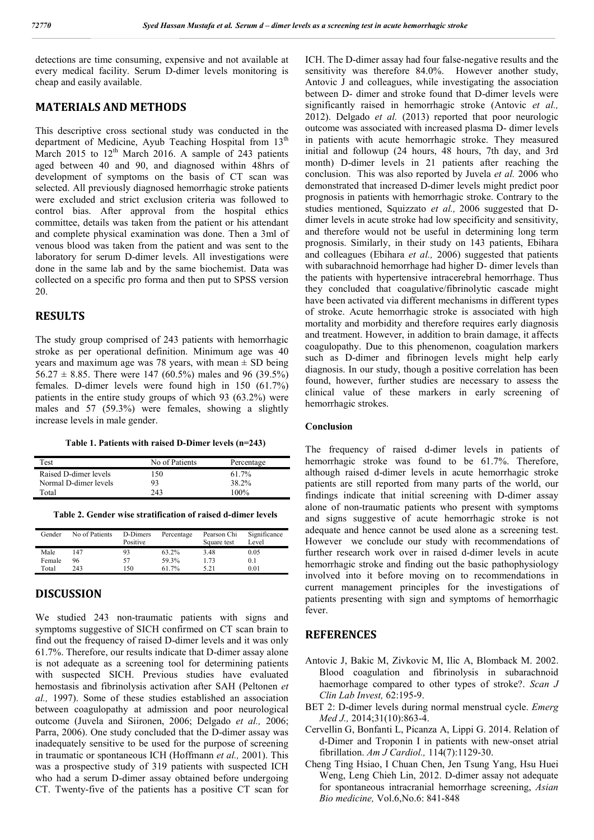detections are time consuming, expensive and not available at every medical facility. Serum D-dimer levels monitoring is cheap and easily available.

#### **MATERIALS AND METHODS**

This descriptive cross sectional study was conducted in the department of Medicine, Ayub Teaching Hospital from 13<sup>th</sup> March 2015 to  $12<sup>th</sup>$  March 2016. A sample of 243 patients aged between 40 and 90, and diagnosed within 48hrs of development of symptoms on the basis of CT scan was selected. All previously diagnosed hemorrhagic stroke patients were excluded and strict exclusion criteria was followed to control bias. After approval from the hospital ethics committee, details was taken from the patient or his attendant and complete physical examination was done. Then a 3ml of venous blood was taken from the patient and was sent to the laboratory for serum D-dimer levels. All investigations were done in the same lab and by the same biochemist. Data was collected on a specific pro forma and then put to SPSS version 20.

#### **RESULTS**

The study group comprised of 243 patients with hemorrhagic stroke as per operational definition. Minimum age was 40 years and maximum age was 78 years, with mean  $\pm$  SD being 56.27  $\pm$  8.85. There were 147 (60.5%) males and 96 (39.5%) females. D-dimer levels were found high in 150 (61.7%) patients in the entire study groups of which 93 (63.2%) were males and 57 (59.3%) were females, showing a slightly increase levels in male gender.

**Table 1. Patients with raised D-Dimer levels (n=243)**

| Test                  | No of Patients | Percentage |
|-----------------------|----------------|------------|
| Raised D-dimer levels | 150            | 61.7%      |
| Normal D-dimer levels | 93             | 38.2%      |
| Total                 | 243            | 100%       |

**Table 2. Gender wise stratification of raised d-dimer levels**

| Gender | No of Patients | D-Dimers<br>Positive | Percentage | Pearson Chi<br>Square test | Significance<br>Level |
|--------|----------------|----------------------|------------|----------------------------|-----------------------|
| Male   | 147            | 93                   | 63.2%      | 3.48                       | 0.05                  |
| Female | 96             | 57                   | 59.3%      | 1.73                       | 0.1                   |
| Total  | 243            | 150                  | 61.7%      | 5.21                       | 0.01                  |

### **DISCUSSION**

We studied 243 non-traumatic patients with signs and symptoms suggestive of SICH confirmed on CT scan brain to find out the frequency of raised D-dimer levels and it was only 61.7%. Therefore, our results indicate that D-dimer assay alone is not adequate as a screening tool for determining patients with suspected SICH. Previous studies have evaluated hemostasis and fibrinolysis activation after SAH (Peltonen *et al.,* 1997). Some of these studies established an association between coagulopathy at admission and poor neurological outcome (Juvela and Siironen, 2006; Delgado *et al.,* 2006; Parra, 2006). One study concluded that the D-dimer assay was inadequately sensitive to be used for the purpose of screening in traumatic or spontaneous ICH (Hoffmann *et al.,* 2001). This was a prospective study of 319 patients with suspected ICH who had a serum D-dimer assay obtained before undergoing CT. Twenty-five of the patients has a positive CT scan for

ICH. The D-dimer assay had four false-negative results and the sensitivity was therefore 84.0%. However another study, Antovic J and colleagues, while investigating the association between D- dimer and stroke found that D-dimer levels were significantly raised in hemorrhagic stroke (Antovic *et al.,*  2012). Delgado *et al.* (2013) reported that poor neurologic outcome was associated with increased plasma D- dimer levels in patients with acute hemorrhagic stroke. They measured initial and followup (24 hours, 48 hours, 7th day, and 3rd month) D-dimer levels in 21 patients after reaching the conclusion. This was also reported by Juvela *et al.* 2006 who demonstrated that increased D-dimer levels might predict poor prognosis in patients with hemorrhagic stroke. Contrary to the studies mentioned, Squizzato *et al.,* 2006 suggested that Ddimer levels in acute stroke had low specificity and sensitivity, and therefore would not be useful in determining long term prognosis. Similarly, in their study on 143 patients, Ebihara and colleagues (Ebihara *et al.,* 2006) suggested that patients with subarachnoid hemorrhage had higher D- dimer levels than the patients with hypertensive intracerebral hemorrhage. Thus they concluded that coagulative/fibrinolytic cascade might have been activated via different mechanisms in different types of stroke. Acute hemorrhagic stroke is associated with high mortality and morbidity and therefore requires early diagnosis and treatment. However, in addition to brain damage, it affects coagulopathy. Due to this phenomenon, coagulation markers such as D-dimer and fibrinogen levels might help early diagnosis. In our study, though a positive correlation has been found, however, further studies are necessary to assess the clinical value of these markers in early screening of hemorrhagic strokes.

#### **Conclusion**

The frequency of raised d-dimer levels in patients of hemorrhagic stroke was found to be 61.7%. Therefore, although raised d-dimer levels in acute hemorrhagic stroke patients are still reported from many parts of the world, our findings indicate that initial screening with D-dimer assay alone of non-traumatic patients who present with symptoms and signs suggestive of acute hemorrhagic stroke is not adequate and hence cannot be used alone as a screening test. However we conclude our study with recommendations of further research work over in raised d-dimer levels in acute hemorrhagic stroke and finding out the basic pathophysiology involved into it before moving on to recommendations in current management principles for the investigations of patients presenting with sign and symptoms of hemorrhagic fever.

#### **REFERENCES**

- Antovic J, Bakic M, Zivkovic M, Ilic A, Blomback M. 2002. Blood coagulation and fibrinolysis in subarachnoid haemorhage compared to other types of stroke?. *Scan J Clin Lab Invest,* 62:195-9.
- BET 2: D-dimer levels during normal menstrual cycle. *Emerg Med J.,* 2014;31(10):863-4.
- Cervellin G, Bonfanti L, Picanza A, Lippi G. 2014. Relation of d-Dimer and Troponin I in patients with new-onset atrial fibrillation. *Am J Cardiol.,* 114(7):1129-30.
- Cheng Ting Hsiao, I Chuan Chen, Jen Tsung Yang, Hsu Huei Weng, Leng Chieh Lin, 2012. D-dimer assay not adequate for spontaneous intracranial hemorrhage screening, *Asian Bio medicine,* Vol.6,No.6: 841-848